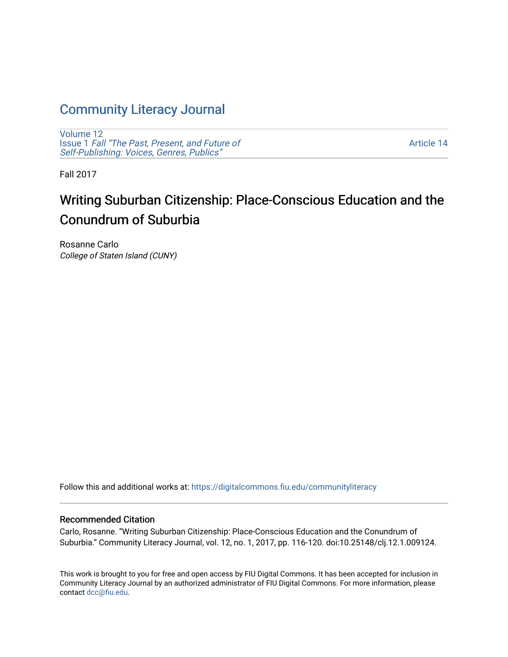## [Community Literacy Journal](https://digitalcommons.fiu.edu/communityliteracy)

[Volume 12](https://digitalcommons.fiu.edu/communityliteracy/vol12) Issue 1 [Fall "The Past, Present, and Future of](https://digitalcommons.fiu.edu/communityliteracy/vol12/iss1) [Self-Publishing: Voices, Genres, Publics"](https://digitalcommons.fiu.edu/communityliteracy/vol12/iss1) 

[Article 14](https://digitalcommons.fiu.edu/communityliteracy/vol12/iss1/14) 

Fall 2017

# Writing Suburban Citizenship: Place-Conscious Education and the Conundrum of Suburbia

Rosanne Carlo College of Staten Island (CUNY)

Follow this and additional works at: [https://digitalcommons.fiu.edu/communityliteracy](https://digitalcommons.fiu.edu/communityliteracy?utm_source=digitalcommons.fiu.edu%2Fcommunityliteracy%2Fvol12%2Fiss1%2F14&utm_medium=PDF&utm_campaign=PDFCoverPages)

#### Recommended Citation

Carlo, Rosanne. "Writing Suburban Citizenship: Place-Conscious Education and the Conundrum of Suburbia." Community Literacy Journal, vol. 12, no. 1, 2017, pp. 116-120. doi:10.25148/clj.12.1.009124.

This work is brought to you for free and open access by FIU Digital Commons. It has been accepted for inclusion in Community Literacy Journal by an authorized administrator of FIU Digital Commons. For more information, please contact [dcc@fiu.edu](mailto:dcc@fiu.edu).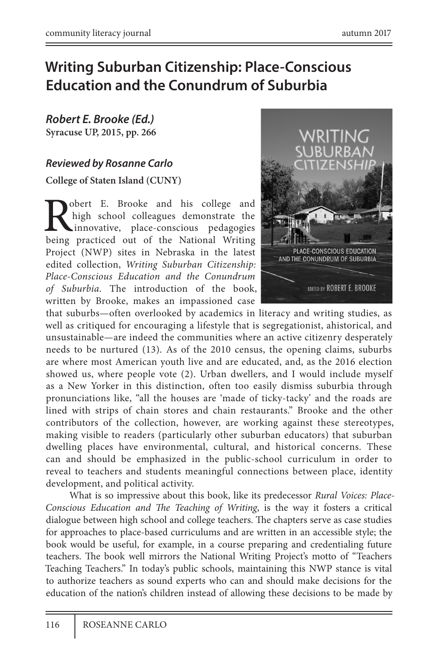### **Writing Suburban Citizenship: Place-Conscious Education and the Conundrum of Suburbia**

*Robert E. Brooke (Ed.)* **Syracuse UP, 2015, pp. 266**

### *Reviewed by Rosanne Carlo*

**College of Staten Island (CUNY)**

obert E. Brooke and his college and high school colleagues demonstrate the innovative, place-conscious pedagogies being practiced out of the National Writing Project (NWP) sites in Nebraska in the latest edited collection, *Writing Suburban Citizenship: Place-Conscious Education and the Conundrum of Suburbia*. The introduction of the book, written by Brooke, makes an impassioned case



that suburbs—often overlooked by academics in literacy and writing studies, as well as critiqued for encouraging a lifestyle that is segregationist, ahistorical, and unsustainable—are indeed the communities where an active citizenry desperately needs to be nurtured (13). As of the 2010 census, the opening claims, suburbs are where most American youth live and are educated, and, as the 2016 election showed us, where people vote (2). Urban dwellers, and I would include myself as a New Yorker in this distinction, often too easily dismiss suburbia through pronunciations like, "all the houses are 'made of ticky-tacky' and the roads are lined with strips of chain stores and chain restaurants." Brooke and the other contributors of the collection, however, are working against these stereotypes, making visible to readers (particularly other suburban educators) that suburban dwelling places have environmental, cultural, and historical concerns. These can and should be emphasized in the public-school curriculum in order to reveal to teachers and students meaningful connections between place, identity development, and political activity.

What is so impressive about this book, like its predecessor *Rural Voices: Place-Conscious Education and The Teaching of Writing*, is the way it fosters a critical dialogue between high school and college teachers. The chapters serve as case studies for approaches to place-based curriculums and are written in an accessible style; the book would be useful, for example, in a course preparing and credentialing future teachers. The book well mirrors the National Writing Project's motto of "Teachers Teaching Teachers." In today's public schools, maintaining this NWP stance is vital to authorize teachers as sound experts who can and should make decisions for the education of the nation's children instead of allowing these decisions to be made by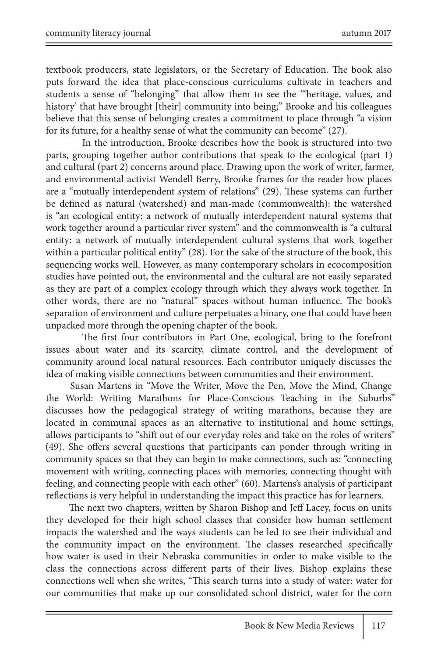textbook producers, state legislators, or the Secretary of Education. The book also puts forward the idea that place-conscious curriculums cultivate in teachers and students a sense of "belonging" that allow them to see the "'heritage, values, and history' that have brought [their] community into being;" Brooke and his colleagues believe that this sense of belonging creates a commitment to place through "a vision for its future, for a healthy sense of what the community can become" (27).

In the introduction, Brooke describes how the book is structured into two parts, grouping together author contributions that speak to the ecological (part 1) and cultural (part 2) concerns around place. Drawing upon the work of writer, farmer, and environmental activist Wendell Berry, Brooke frames for the reader how places are a "mutually interdependent system of relations" (29). These systems can further be defined as natural (watershed) and man-made (commonwealth): the watershed is "an ecological entity: a network of mutually interdependent natural systems that work together around a particular river system" and the commonwealth is "a cultural entity: a network of mutually interdependent cultural systems that work together within a particular political entity" (28). For the sake of the structure of the book, this sequencing works well. However, as many contemporary scholars in ecocomposition studies have pointed out, the environmental and the cultural are not easily separated as they are part of a complex ecology through which they always work together. In other words, there are no "natural" spaces without human influence. The book's separation of environment and culture perpetuates a binary, one that could have been unpacked more through the opening chapter of the book.

The first four contributors in Part One, ecological, bring to the forefront issues about water and its scarcity, climate control, and the development of community around local natural resources. Each contributor uniquely discusses the idea of making visible connections between communities and their environment.

Susan Martens in "Move the Writer, Move the Pen, Move the Mind, Change the World: Writing Marathons for Place-Conscious Teaching in the Suburbs" discusses how the pedagogical strategy of writing marathons, because they are located in communal spaces as an alternative to institutional and home settings, allows participants to "shift out of our everyday roles and take on the roles of writers" (49). She offers several questions that participants can ponder through writing in community spaces so that they can begin to make connections, such as: "connecting movement with writing, connecting places with memories, connecting thought with feeling, and connecting people with each other" (60). Martens's analysis of participant reflections is very helpful in understanding the impact this practice has for learners.

The next two chapters, written by Sharon Bishop and Jeff Lacey, focus on units they developed for their high school classes that consider how human settlement impacts the watershed and the ways students can be led to see their individual and the community impact on the environment. The classes researched specifically how water is used in their Nebraska communities in order to make visible to the class the connections across different parts of their lives. Bishop explains these connections well when she writes, "This search turns into a study of water: water for our communities that make up our consolidated school district, water for the corn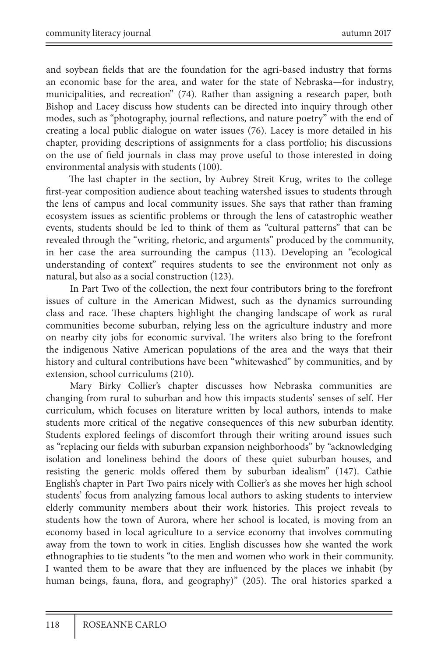and soybean fields that are the foundation for the agri-based industry that forms an economic base for the area, and water for the state of Nebraska—for industry, municipalities, and recreation" (74). Rather than assigning a research paper, both Bishop and Lacey discuss how students can be directed into inquiry through other modes, such as "photography, journal reflections, and nature poetry" with the end of creating a local public dialogue on water issues (76). Lacey is more detailed in his chapter, providing descriptions of assignments for a class portfolio; his discussions on the use of field journals in class may prove useful to those interested in doing environmental analysis with students (100).

The last chapter in the section, by Aubrey Streit Krug, writes to the college first-year composition audience about teaching watershed issues to students through the lens of campus and local community issues. She says that rather than framing ecosystem issues as scientific problems or through the lens of catastrophic weather events, students should be led to think of them as "cultural patterns" that can be revealed through the "writing, rhetoric, and arguments" produced by the community, in her case the area surrounding the campus (113). Developing an "ecological understanding of context" requires students to see the environment not only as natural, but also as a social construction (123).

In Part Two of the collection, the next four contributors bring to the forefront issues of culture in the American Midwest, such as the dynamics surrounding class and race. These chapters highlight the changing landscape of work as rural communities become suburban, relying less on the agriculture industry and more on nearby city jobs for economic survival. The writers also bring to the forefront the indigenous Native American populations of the area and the ways that their history and cultural contributions have been "whitewashed" by communities, and by extension, school curriculums (210).

Mary Birky Collier's chapter discusses how Nebraska communities are changing from rural to suburban and how this impacts students' senses of self. Her curriculum, which focuses on literature written by local authors, intends to make students more critical of the negative consequences of this new suburban identity. Students explored feelings of discomfort through their writing around issues such as "replacing our fields with suburban expansion neighborhoods" by "acknowledging isolation and loneliness behind the doors of these quiet suburban houses, and resisting the generic molds offered them by suburban idealism" (147). Cathie English's chapter in Part Two pairs nicely with Collier's as she moves her high school students' focus from analyzing famous local authors to asking students to interview elderly community members about their work histories. This project reveals to students how the town of Aurora, where her school is located, is moving from an economy based in local agriculture to a service economy that involves commuting away from the town to work in cities. English discusses how she wanted the work ethnographies to tie students "to the men and women who work in their community. I wanted them to be aware that they are influenced by the places we inhabit (by human beings, fauna, flora, and geography)" (205). The oral histories sparked a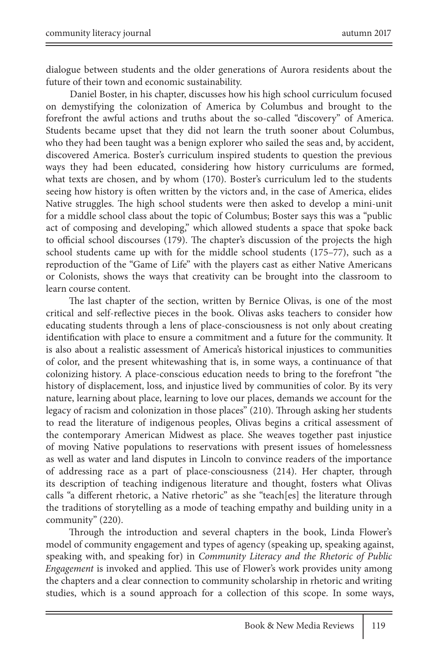dialogue between students and the older generations of Aurora residents about the future of their town and economic sustainability.

Daniel Boster, in his chapter, discusses how his high school curriculum focused on demystifying the colonization of America by Columbus and brought to the forefront the awful actions and truths about the so-called "discovery" of America. Students became upset that they did not learn the truth sooner about Columbus, who they had been taught was a benign explorer who sailed the seas and, by accident, discovered America. Boster's curriculum inspired students to question the previous ways they had been educated, considering how history curriculums are formed, what texts are chosen, and by whom (170). Boster's curriculum led to the students seeing how history is often written by the victors and, in the case of America, elides Native struggles. The high school students were then asked to develop a mini-unit for a middle school class about the topic of Columbus; Boster says this was a "public act of composing and developing," which allowed students a space that spoke back to official school discourses (179). The chapter's discussion of the projects the high school students came up with for the middle school students (175–77), such as a reproduction of the "Game of Life" with the players cast as either Native Americans or Colonists, shows the ways that creativity can be brought into the classroom to learn course content.

The last chapter of the section, written by Bernice Olivas, is one of the most critical and self-reflective pieces in the book. Olivas asks teachers to consider how educating students through a lens of place-consciousness is not only about creating identification with place to ensure a commitment and a future for the community. It is also about a realistic assessment of America's historical injustices to communities of color, and the present whitewashing that is, in some ways, a continuance of that colonizing history. A place-conscious education needs to bring to the forefront "the history of displacement, loss, and injustice lived by communities of color. By its very nature, learning about place, learning to love our places, demands we account for the legacy of racism and colonization in those places" (210). Through asking her students to read the literature of indigenous peoples, Olivas begins a critical assessment of the contemporary American Midwest as place. She weaves together past injustice of moving Native populations to reservations with present issues of homelessness as well as water and land disputes in Lincoln to convince readers of the importance of addressing race as a part of place-consciousness (214). Her chapter, through its description of teaching indigenous literature and thought, fosters what Olivas calls "a different rhetoric, a Native rhetoric" as she "teach[es] the literature through the traditions of storytelling as a mode of teaching empathy and building unity in a community" (220).

Through the introduction and several chapters in the book, Linda Flower's model of community engagement and types of agency (speaking up, speaking against, speaking with, and speaking for) in *Community Literacy and the Rhetoric of Public Engagement* is invoked and applied. This use of Flower's work provides unity among the chapters and a clear connection to community scholarship in rhetoric and writing studies, which is a sound approach for a collection of this scope. In some ways,